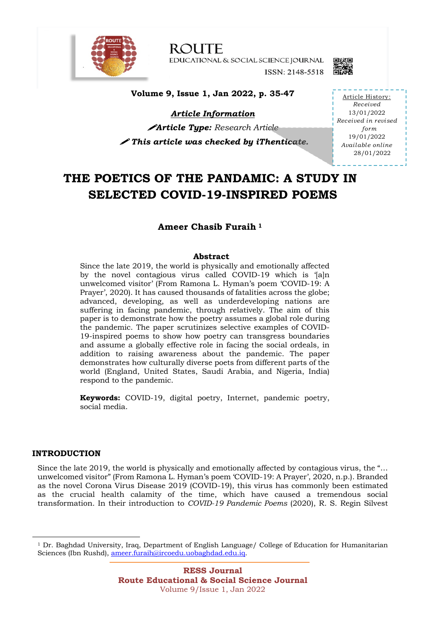

**ROUTE** EDUCATIONAL & SOCIAL SCIENCE JOURNAL ISSN: 2148-5518



**Volume 9, Issue 1, Jan 2022, p. 35-47**

*Article Information* !*Article Type: Research Article* ! *This article was checked by iThenticate.* 

Article History: *Received* 13/01/2022 *Received in revised form* 19/01/2022 *Available online* 28/01/2022

# **THE POETICS OF THE PANDAMIC: A STUDY IN SELECTED COVID-19-INSPIRED POEMS**

# **Ameer Chasib Furaih <sup>1</sup>**

# **Abstract**

Since the late 2019, the world is physically and emotionally affected by the novel contagious virus called COVID-19 which is 'laln unwelcomed visitor' (From Ramona L. Hyman's poem 'COVID-19: A Prayer', 2020). It has caused thousands of fatalities across the globe; advanced, developing, as well as underdeveloping nations are suffering in facing pandemic, through relatively. The aim of this paper is to demonstrate how the poetry assumes a global role during the pandemic. The paper scrutinizes selective examples of COVID-19-inspired poems to show how poetry can transgress boundaries and assume a globally effective role in facing the social ordeals, in addition to raising awareness about the pandemic. The paper demonstrates how culturally diverse poets from different parts of the world (England, United States, Saudi Arabia, and Nigeria, India) respond to the pandemic.

**Keywords:** COVID-19, digital poetry, Internet, pandemic poetry, social media.

## **INTRODUCTION**

Since the late 2019, the world is physically and emotionally affected by contagious virus, the "… unwelcomed visitor" (From Ramona L. Hyman's poem 'COVID-19: A Prayer', 2020, n.p.). Branded as the novel Corona Virus Disease 2019 (COVID-19), this virus has commonly been estimated as the crucial health calamity of the time, which have caused a tremendous social transformation. In their introduction to *COVID-19 Pandemic Poems* (2020), R. S. Regin Silvest

<sup>&</sup>lt;sup>1</sup> Dr. Baghdad University, Iraq, Department of English Language/ College of Education for Humanitarian Sciences (Ibn Rushd), ameer.furaih@ircoedu.uobaghdad.edu.iq.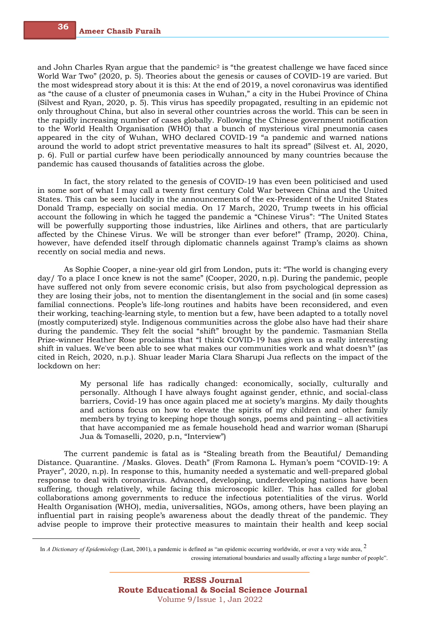and John Charles Ryan argue that the pandemic<sup>2</sup> is "the greatest challenge we have faced since World War Two" (2020, p. 5). Theories about the genesis or causes of COVID-19 are varied. But the most widespread story about it is this: At the end of 2019, a novel coronavirus was identified as "the cause of a cluster of pneumonia cases in Wuhan," a city in the Hubei Province of China (Silvest and Ryan, 2020, p. 5). This virus has speedily propagated, resulting in an epidemic not only throughout China, but also in several other countries across the world. This can be seen in the rapidly increasing number of cases globally. Following the Chinese government notification to the World Health Organisation (WHO) that a bunch of mysterious viral pneumonia cases appeared in the city of Wuhan, WHO declared COVID-19 "a pandemic and warned nations around the world to adopt strict preventative measures to halt its spread" (Silvest et. Al, 2020, p. 6). Full or partial curfew have been periodically announced by many countries because the pandemic has caused thousands of fatalities across the globe.

In fact, the story related to the genesis of COVID-19 has even been politicised and used in some sort of what I may call a twenty first century Cold War between China and the United States. This can be seen lucidly in the announcements of the ex-President of the United States Donald Tramp, especially on social media. On 17 March, 2020, Trump tweets in his official account the following in which he tagged the pandemic a "Chinese Virus": "The United States will be powerfully supporting those industries, like Airlines and others, that are particularly affected by the Chinese Virus. We will be stronger than ever before!" (Tramp, 2020). China, however, have defended itself through diplomatic channels against Tramp's claims as shown recently on social media and news.

As Sophie Cooper, a nine-year old girl from London, puts it: "The world is changing every day/ To a place I once knew is not the same" (Cooper, 2020, n.p). During the pandemic, people have suffered not only from severe economic crisis, but also from psychological depression as they are losing their jobs, not to mention the disentanglement in the social and (in some cases) familial connections. People's life-long routines and habits have been reconsidered, and even their working, teaching-learning style, to mention but a few, have been adapted to a totally novel (mostly computerized) style. Indigenous communities across the globe also have had their share during the pandemic. They felt the social "shift" brought by the pandemic. Tasmanian Stella Prize-winner Heather Rose proclaims that "I think COVID-19 has given us a really interesting shift in values. We've been able to see what makes our communities work and what doesn't" (as cited in Reich, 2020, n.p.). Shuar leader Maria Clara Sharupi Jua reflects on the impact of the lockdown on her:

> My personal life has radically changed: economically, socially, culturally and personally. Although I have always fought against gender, ethnic, and social-class barriers, Covid-19 has once again placed me at society's margins. My daily thoughts and actions focus on how to elevate the spirits of my children and other family members by trying to keeping hope though songs, poems and painting – all activities that have accompanied me as female household head and warrior woman (Sharupi Jua & Tomaselli, 2020, p.n, "Interview")

The current pandemic is fatal as is "Stealing breath from the Beautiful/ Demanding Distance. Quarantine. /Masks. Gloves. Death" (From Ramona L. Hyman's poem "COVID-19: A Prayer", 2020, n.p). In response to this, humanity needed a systematic and well-prepared global response to deal with coronavirus. Advanced, developing, underdeveloping nations have been suffering, though relatively, while facing this microscopic killer. This has called for global collaborations among governments to reduce the infectious potentialities of the virus. World Health Organisation (WHO), media, universalities, NGOs, among others, have been playing an influential part in raising people's awareness about the deadly threat of the pandemic. They advise people to improve their protective measures to maintain their health and keep social

crossing international boundaries and usually affecting a large number of people".

<sup>2</sup> In *<sup>A</sup> Dictionary of Epidemiology* (Last, 2001), a pandemic is defined as "an epidemic occurring worldwide, or over a very wide area,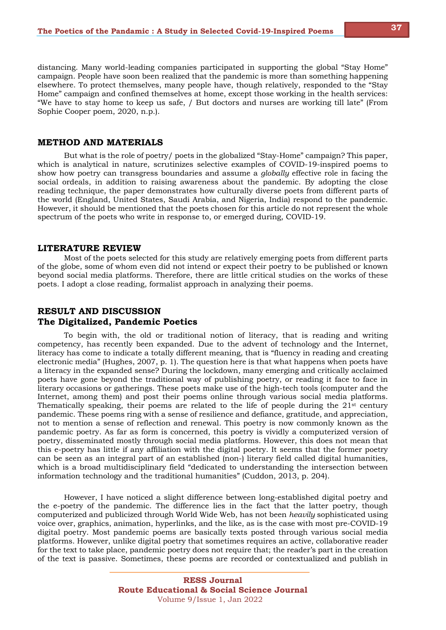distancing. Many world-leading companies participated in supporting the global "Stay Home" campaign. People have soon been realized that the pandemic is more than something happening elsewhere. To protect themselves, many people have, though relatively, responded to the "Stay Home" campaign and confined themselves at home, except those working in the health services: "We have to stay home to keep us safe, / But doctors and nurses are working till late" (From Sophie Cooper poem, 2020, n.p.).

## **METHOD AND MATERIALS**

But what is the role of poetry/ poets in the globalized "Stay-Home" campaign? This paper, which is analytical in nature, scrutinizes selective examples of COVID-19-inspired poems to show how poetry can transgress boundaries and assume a *globally* effective role in facing the social ordeals, in addition to raising awareness about the pandemic. By adopting the close reading technique, the paper demonstrates how culturally diverse poets from different parts of the world (England, United States, Saudi Arabia, and Nigeria, India) respond to the pandemic. However, it should be mentioned that the poets chosen for this article do not represent the whole spectrum of the poets who write in response to, or emerged during, COVID-19.

#### **LITERATURE REVIEW**

Most of the poets selected for this study are relatively emerging poets from different parts of the globe, some of whom even did not intend or expect their poetry to be published or known beyond social media platforms. Therefore, there are little critical studies on the works of these poets. I adopt a close reading, formalist approach in analyzing their poems.

# **RESULT AND DISCUSSION The Digitalized, Pandemic Poetics**

To begin with, the old or traditional notion of literacy, that is reading and writing competency, has recently been expanded. Due to the advent of technology and the Internet, literacy has come to indicate a totally different meaning, that is "fluency in reading and creating electronic media" (Hughes, 2007, p. 1). The question here is that what happens when poets have a literacy in the expanded sense? During the lockdown, many emerging and critically acclaimed poets have gone beyond the traditional way of publishing poetry, or reading it face to face in literary occasions or gatherings. These poets make use of the high-tech tools (computer and the Internet, among them) and post their poems online through various social media platforms. Thematically speaking, their poems are related to the life of people during the  $21<sup>st</sup>$  century pandemic. These poems ring with a sense of resilience and defiance, gratitude, and appreciation, not to mention a sense of reflection and renewal. This poetry is now commonly known as the pandemic poetry. As far as form is concerned, this poetry is vividly a computerized version of poetry, disseminated mostly through social media platforms. However, this does not mean that this e-poetry has little if any affiliation with the digital poetry. It seems that the former poetry can be seen as an integral part of an established (non-) literary field called digital humanities, which is a broad multidisciplinary field "dedicated to understanding the intersection between information technology and the traditional humanities" (Cuddon, 2013, p. 204).

However, I have noticed a slight difference between long-established digital poetry and the e-poetry of the pandemic. The difference lies in the fact that the latter poetry, though computerized and publicized through World Wide Web, has not been *heavily* sophisticated using voice over, graphics, animation, hyperlinks, and the like, as is the case with most pre-COVID-19 digital poetry. Most pandemic poems are basically texts posted through various social media platforms. However, unlike digital poetry that sometimes requires an active, collaborative reader for the text to take place, pandemic poetry does not require that; the reader's part in the creation of the text is passive. Sometimes, these poems are recorded or contextualized and publish in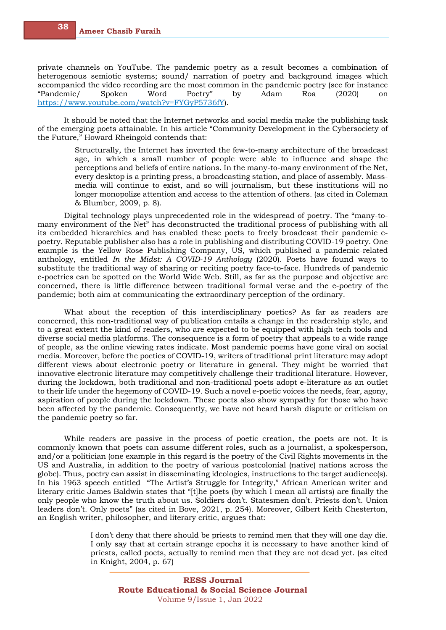private channels on YouTube. The pandemic poetry as a result becomes a combination of heterogenous semiotic systems; sound/ narration of poetry and background images which accompanied the video recording are the most common in the pandemic poetry (see for instance "Pandemic/ Spoken Word Poetry" by Adam Roa (2020) https://www.youtube.com/watch?v=FYGyP5736fY).

It should be noted that the Internet networks and social media make the publishing task of the emerging poets attainable. In his article "Community Development in the Cybersociety of the Future," Howard Rheingold contends that:

> Structurally, the Internet has inverted the few-to-many architecture of the broadcast age, in which a small number of people were able to influence and shape the perceptions and beliefs of entire nations. In the many-to-many environment of the Net, every desktop is a printing press, a broadcasting station, and place of assembly. Massmedia will continue to exist, and so will journalism, but these institutions will no longer monopolize attention and access to the attention of others. (as cited in Coleman & Blumber, 2009, p. 8).

Digital technology plays unprecedented role in the widespread of poetry. The "many-tomany environment of the Net" has deconstructed the traditional process of publishing with all its embedded hierarchies and has enabled these poets to freely broadcast their pandemic epoetry. Reputable publisher also has a role in publishing and distributing COVID-19 poetry. One example is the Yellow Rose Publishing Company, US, which published a pandemic-related anthology, entitled *In the Midst: A COVID-19 Anthology* (2020). Poets have found ways to substitute the traditional way of sharing or reciting poetry face-to-face. Hundreds of pandemic e-poetries can be spotted on the World Wide Web. Still, as far as the purpose and objective are concerned, there is little difference between traditional formal verse and the e-poetry of the pandemic; both aim at communicating the extraordinary perception of the ordinary.

What about the reception of this interdisciplinary poetics? As far as readers are concerned, this non-traditional way of publication entails a change in the readership style, and to a great extent the kind of readers, who are expected to be equipped with high-tech tools and diverse social media platforms. The consequence is a form of poetry that appeals to a wide range of people, as the online viewing rates indicate. Most pandemic poems have gone viral on social media. Moreover, before the poetics of COVID-19, writers of traditional print literature may adopt different views about electronic poetry or literature in general. They might be worried that innovative electronic literature may competitively challenge their traditional literature. However, during the lockdown, both traditional and non-traditional poets adopt e-literature as an outlet to their life under the hegemony of COVID-19. Such a novel e-poetic voices the needs, fear, agony, aspiration of people during the lockdown. These poets also show sympathy for those who have been affected by the pandemic. Consequently, we have not heard harsh dispute or criticism on the pandemic poetry so far.

While readers are passive in the process of poetic creation, the poets are not. It is commonly known that poets can assume different roles, such as a journalist, a spokesperson, and/or a politician (one example in this regard is the poetry of the Civil Rights movements in the US and Australia, in addition to the poetry of various postcolonial (native) nations across the globe). Thus, poetry can assist in disseminating ideologies, instructions to the target audience(s). In his 1963 speech entitled "The Artist's Struggle for Integrity," African American writer and literary critic James Baldwin states that "[t]he poets (by which I mean all artists) are finally the only people who know the truth about us. Soldiers don't. Statesmen don't. Priests don't. Union leaders don't. Only poets" (as cited in Bove, 2021, p. 254). Moreover, Gilbert Keith Chesterton, an English writer, philosopher, and literary critic, argues that:

> I don't deny that there should be priests to remind men that they will one day die. I only say that at certain strange epochs it is necessary to have another kind of priests, called poets, actually to remind men that they are not dead yet. (as cited in Knight, 2004, p. 67)

**38**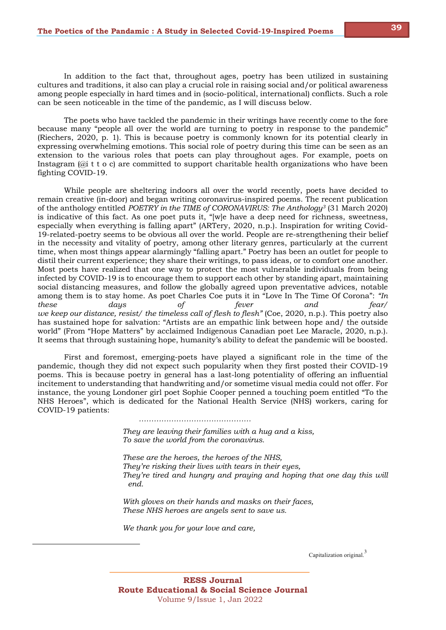In addition to the fact that, throughout ages, poetry has been utilized in sustaining cultures and traditions, it also can play a crucial role in raising social and/or political awareness among people especially in hard times and in (socio-political, international) conflicts. Such a role can be seen noticeable in the time of the pandemic, as I will discuss below.

The poets who have tackled the pandemic in their writings have recently come to the fore because many "people all over the world are turning to poetry in response to the pandemic" (Riechers, 2020, p. 1). This is because poetry is commonly known for its potential clearly in expressing overwhelming emotions. This social role of poetry during this time can be seen as an extension to the various roles that poets can play throughout ages. For example, poets on Instagram ( $\hat{a}$  t t o c) are committed to support charitable health organizations who have been fighting COVID-19.

While people are sheltering indoors all over the world recently, poets have decided to remain creative (in-door) and began writing coronavirus-inspired poems. The recent publication of the anthology entitled *POETRY in the TIME of CORONAVIRUS: The Anthology3* (31 March 2020) is indicative of this fact. As one poet puts it, "[w]e have a deep need for richness, sweetness, especially when everything is falling apart" (ARTery, 2020, n.p.). Inspiration for writing Covid-19-related-poetry seems to be obvious all over the world. People are re-strengthening their belief in the necessity and vitality of poetry, among other literary genres, particularly at the current time, when most things appear alarmingly "falling apart." Poetry has been an outlet for people to distil their current experience; they share their writings, to pass ideas, or to comfort one another. Most poets have realized that one way to protect the most vulnerable individuals from being infected by COVID-19 is to encourage them to support each other by standing apart, maintaining social distancing measures, and follow the globally agreed upon preventative advices, notable among them is to stay home. As poet Charles Coe puts it in "Love In The Time Of Corona": *"In these days of fever and fear/ we keep our distance, resist/ the timeless call of flesh to flesh"* (Coe, 2020, n.p.). This poetry also has sustained hope for salvation: "Artists are an empathic link between hope and/ the outside world" (From "Hope Matters" by acclaimed Indigenous Canadian poet Lee Maracle, 2020, n.p.). It seems that through sustaining hope, humanity's ability to defeat the pandemic will be boosted.

First and foremost, emerging-poets have played a significant role in the time of the pandemic, though they did not expect such popularity when they first posted their COVID-19 poems. This is because poetry in general has a last-long potentiality of offering an influential incitement to understanding that handwriting and/or sometime visual media could not offer. For instance, the young Londoner girl poet Sophie Cooper penned a touching poem entitled "To the NHS Heroes", which is dedicated for the National Health Service (NHS) workers, caring for COVID-19 patients:

*………………………………………*

*They are leaving their families with a hug and a kiss, To save the world from the coronavirus.*

*These are the heroes, the heroes of the NHS, They're risking their lives with tears in their eyes, They're tired and hungry and praying and hoping that one day this will end.*

*With gloves on their hands and masks on their faces, These NHS heroes are angels sent to save us.*

*We thank you for your love and care,*

Capitalization original.<sup>3</sup>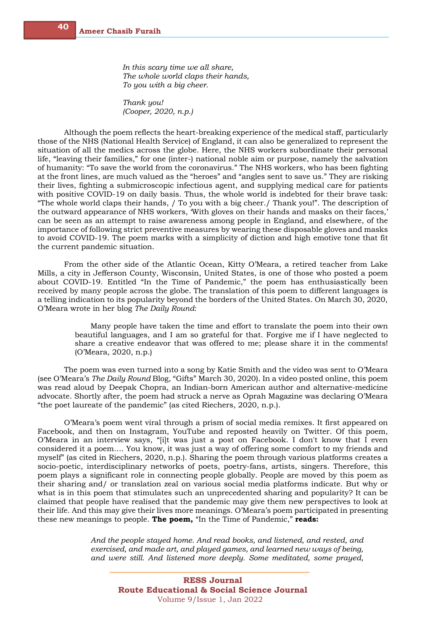*In this scary time we all share, The whole world claps their hands, To you with a big cheer.*

*Thank you! (Cooper, 2020, n.p.)*

Although the poem reflects the heart-breaking experience of the medical staff, particularly those of the NHS (National Health Service) of England, it can also be generalized to represent the situation of all the medics across the globe. Here, the NHS workers subordinate their personal life, "leaving their families," for one (inter-) national noble aim or purpose, namely the salvation of humanity: "To save the world from the coronavirus." The NHS workers, who has been fighting at the front lines, are much valued as the "heroes" and "angles sent to save us." They are risking their lives, fighting a submicroscopic infectious agent, and supplying medical care for patients with positive COVID-19 on daily basis. Thus, the whole world is indebted for their brave task: "The whole world claps their hands, / To you with a big cheer./ Thank you!". The description of the outward appearance of NHS workers, 'With gloves on their hands and masks on their faces,' can be seen as an attempt to raise awareness among people in England, and elsewhere, of the importance of following strict preventive measures by wearing these disposable gloves and masks to avoid COVID-19. The poem marks with a simplicity of diction and high emotive tone that fit the current pandemic situation.

From the other side of the Atlantic Ocean, Kitty O'Meara, a retired teacher from Lake Mills, a city in Jefferson County, Wisconsin, United States, is one of those who posted a poem about COVID-19. Entitled "In the Time of Pandemic," the poem has enthusiastically been received by many people across the globe. The translation of this poem to different languages is a telling indication to its popularity beyond the borders of the United States. On March 30, 2020, O'Meara wrote in her blog *The Daily Round*:

> Many people have taken the time and effort to translate the poem into their own beautiful languages, and I am so grateful for that. Forgive me if I have neglected to share a creative endeavor that was offered to me; please share it in the comments! (O'Meara, 2020, n.p.)

The poem was even turned into a song by Katie Smith and the video was sent to O'Meara (see O'Meara's *The Daily Round* Blog, "Gifts" March 30, 2020). In a video posted online, this poem was read aloud by Deepak Chopra, an Indian-born American author and alternative-medicine advocate. Shortly after, the poem had struck a nerve as Oprah Magazine was declaring O'Meara "the poet laureate of the pandemic" (as cited Riechers, 2020, n.p.).

O'Meara's poem went viral through a prism of social media remixes. It first appeared on Facebook, and then on Instagram, YouTube and reposted heavily on Twitter. Of this poem, O'Meara in an interview says, "[i]t was just a post on Facebook. I don't know that I even considered it a poem…. You know, it was just a way of offering some comfort to my friends and myself" (as cited in Riechers, 2020, n.p.). Sharing the poem through various platforms creates a socio-poetic, interdisciplinary networks of poets, poetry-fans, artists, singers. Therefore, this poem plays a significant role in connecting people globally. People are moved by this poem as their sharing and/ or translation zeal on various social media platforms indicate. But why or what is in this poem that stimulates such an unprecedented sharing and popularity? It can be claimed that people have realised that the pandemic may give them new perspectives to look at their life. And this may give their lives more meanings. O'Meara's poem participated in presenting these new meanings to people. **The poem,** "In the Time of Pandemic," **reads:**

> *And the people stayed home. And read books, and listened, and rested, and exercised, and made art, and played games, and learned new ways of being, and were still. And listened more deeply. Some meditated, some prayed,*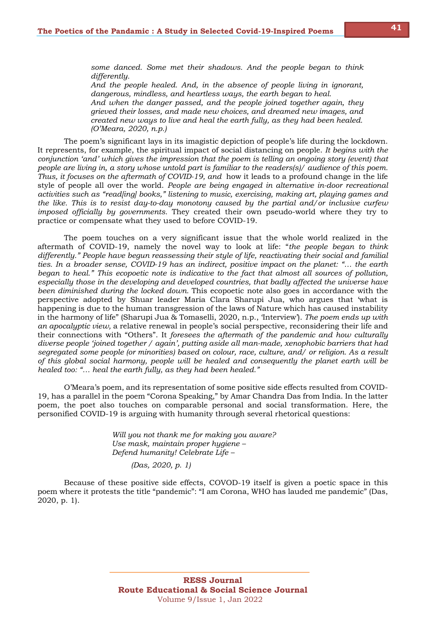*some danced. Some met their shadows. And the people began to think differently.*

*And the people healed. And, in the absence of people living in ignorant, dangerous, mindless, and heartless ways, the earth began to heal. And when the danger passed, and the people joined together again, they grieved their losses, and made new choices, and dreamed new images, and created new ways to live and heal the earth fully, as they had been healed. (O'Meara, 2020, n.p.)*

The poem's significant lays in its imagistic depiction of people's life during the lockdown. It represents, for example, the spiritual impact of social distancing on people. *It begins with the conjunction 'and' which gives the impression that the poem is telling an ongoing story (event) that people are living in, a story whose untold part is familiar to the readers(s)/ audience of this poem. Thus, it focuses on the aftermath of COVID-19, and* how it leads to a profound change in the life style of people all over the world. *People are being engaged in alternative in-door recreational activities such as "read[ing] books," listening to music, exercising, making art, playing games and the like. This is to resist day-to-day monotony caused by the partial and/or inclusive curfew imposed officially by governments.* They created their own pseudo-world where they try to practice or compensate what they used to before COVID-19.

The poem touches on a very significant issue that the whole world realized in the aftermath of COVID-19, namely the novel way to look at life: "*the people began to think differently." People have begun reassessing their style of life, reactivating their social and familial ties. In a broader sense, COVID-19 has an indirect, positive impact on the planet: "… the earth began to heal." This ecopoetic note is indicative to the fact that almost all sources of pollution, especially those in the developing and developed countries, that badly affected the universe have been diminished during the locked down.* This ecopoetic note also goes in accordance with the perspective adopted by Shuar leader Maria Clara Sharupi Jua, who argues that 'what is happening is due to the human transgression of the laws of Nature which has caused instability in the harmony of life" (Sharupi Jua & Tomaselli, 2020, n.p., 'Interview'). *The poem ends up with an apocalyptic view,* a relative renewal in people's social perspective, reconsidering their life and their connections with "Others". It *foresees the aftermath of the pandemic and how culturally diverse people 'joined together / again', putting aside all man-made, xenophobic barriers that had segregated some people (or minorities) based on colour, race, culture, and/ or religion. As a result of this global social harmony, people will be healed and consequently the planet earth will be healed too: "… heal the earth fully, as they had been healed."*

O'Meara's poem, and its representation of some positive side effects resulted from COVID-19, has a parallel in the poem "Corona Speaking," by Amar Chandra Das from India. In the latter poem, the poet also touches on comparable personal and social transformation. Here, the personified COVID-19 is arguing with humanity through several rhetorical questions:

> *Will you not thank me for making you aware? Use mask, maintain proper hygiene – Defend humanity! Celebrate Life –*

> > *(Das, 2020, p. 1)*

Because of these positive side effects, COVOD-19 itself is given a poetic space in this poem where it protests the title "pandemic": "I am Corona, WHO has lauded me pandemic" (Das, 2020, p. 1).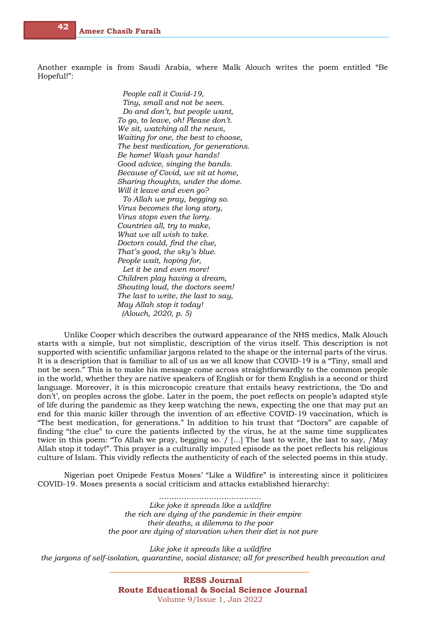Another example is from Saudi Arabia, where Malk Alouch writes the poem entitled "Be Hopeful!":

> *People call it Covid-19, Tiny, small and not be seen. Do and don't, but people want, To go, to leave, oh! Please don't. We sit, watching all the news, Waiting for one, the best to choose, The best medication, for generations. Be home! Wash your hands! Good advice, singing the bands. Because of Covid, we sit at home, Sharing thoughts, under the dome. Will it leave and even go? To Allah we pray, begging so. Virus becomes the long story, Virus stops even the lorry.*

*Countries all, try to make, What we all wish to take. Doctors could, find the clue, That's good, the sky's blue. People wait, hoping for, Let it be and even more! Children play having a dream, Shouting loud, the doctors seem! The last to write, the last to say, May Allah stop it today! (Alouch, 2020, p. 5)*

Unlike Cooper which describes the outward appearance of the NHS medics, Malk Alouch starts with a simple, but not simplistic, description of the virus itself. This description is not supported with scientific unfamiliar jargons related to the shape or the internal parts of the virus. It is a description that is familiar to all of us as we all know that COVID-19 is a "Tiny, small and not be seen." This is to make his message come across straightforwardly to the common people in the world, whether they are native speakers of English or for them English is a second or third language. Moreover, it is this microscopic creature that entails heavy restrictions, the 'Do and don't', on peoples across the globe. Later in the poem, the poet reflects on people's adapted style of life during the pandemic as they keep watching the news, expecting the one that may put an end for this manic killer through the invention of an effective COVID-19 vaccination, which is "The best medication, for generations." In addition to his trust that "Doctors" are capable of finding "the clue" to cure the patients inflected by the virus, he at the same time supplicates twice in this poem: "To Allah we pray, begging so. / […] The last to write, the last to say, /May Allah stop it today!". This prayer is a culturally imputed episode as the poet reflects his religious culture of Islam. This vividly reflects the authenticity of each of the selected poems in this study.

Nigerian poet Onipede Festus Moses' "Like a Wildfire" is interesting since it politicizes COVID-19. Moses presents a social criticism and attacks established hierarchy:

> ……………………………………… *Like joke it spreads like a wildfire the rich are dying of the pandemic in their empire their deaths, a dilemma to the poor the poor are dying of starvation when their diet is not pure*

*Like joke it spreads like a wildfire the jargons of self-isolation, quarantine, social distance; all for prescribed health precaution and* 

> **RESS Journal Route Educational & Social Science Journal** Volume 9/Issue 1, Jan 2022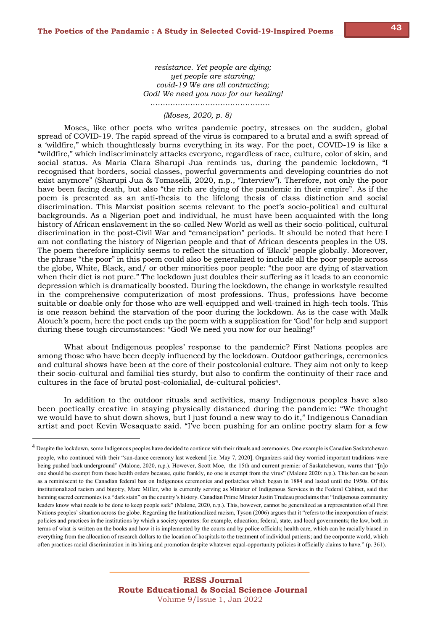*resistance. Yet people are dying; yet people are starving; covid-19 We are all contracting; God! We need you now for our healing! …………………………………………*

## *(Moses, 2020, p. 8)*

Moses, like other poets who writes pandemic poetry, stresses on the sudden, global spread of COVID-19. The rapid spread of the virus is compared to a brutal and a swift spread of a 'wildfire," which thoughtlessly burns everything in its way. For the poet, COVID-19 is like a "wildfire," which indiscriminately attacks everyone, regardless of race, culture, color of skin, and social status. As Maria Clara Sharupi Jua reminds us, during the pandemic lockdown, "I recognised that borders, social classes, powerful governments and developing countries do not exist anymore" (Sharupi Jua & Tomaselli, 2020, n.p., "Interview"). Therefore, not only the poor have been facing death, but also "the rich are dying of the pandemic in their empire". As if the poem is presented as an anti-thesis to the lifelong thesis of class distinction and social discrimination. This Marxist position seems relevant to the poet's socio-political and cultural backgrounds. As a Nigerian poet and individual, he must have been acquainted with the long history of African enslavement in the so-called New World as well as their socio-political, cultural discrimination in the post-Civil War and "emancipation" periods. It should be noted that here I am not conflating the history of Nigerian people and that of African descents peoples in the US. The poem therefore implicitly seems to reflect the situation of 'Black' people globally. Moreover, the phrase "the poor" in this poem could also be generalized to include all the poor people across the globe, White, Black, and/ or other minorities poor people: "the poor are dying of starvation when their diet is not pure." The lockdown just doubles their suffering as it leads to an economic depression which is dramatically boosted. During the lockdown, the change in workstyle resulted in the comprehensive computerization of most professions. Thus, professions have become suitable or doable only for those who are well-equipped and well-trained in high-tech tools. This is one reason behind the starvation of the poor during the lockdown. As is the case with Malk Alouch's poem, here the poet ends up the poem with a supplication for 'God' for help and support during these tough circumstances: "God! We need you now for our healing!"

What about Indigenous peoples' response to the pandemic? First Nations peoples are among those who have been deeply influenced by the lockdown. Outdoor gatherings, ceremonies and cultural shows have been at the core of their postcolonial culture. They aim not only to keep their socio-cultural and familial ties sturdy, but also to confirm the continuity of their race and cultures in the face of brutal post-colonialial, de-cultural policies4.

In addition to the outdoor rituals and activities, many Indigenous peoples have also been poetically creative in staying physically distanced during the pandemic: "We thought we would have to shut down shows, but I just found a new way to do it," Indigenous Canadian artist and poet Kevin Wesaquate said. "I've been pushing for an online poetry slam for a few

<sup>&</sup>lt;sup>4</sup> Despite the lockdown, some Indigenous peoples have decided to continue with their rituals and ceremonies. One example is Canadian Saskatchewan people, who continued with their "sun-dance ceremony last weekend [i.e. May 7, 2020]. Organizers said they worried important traditions were being pushed back underground" (Malone, 2020, n.p.). However, Scott Moe, the 15th and current premier of Saskatchewan, warns that "[n]o one should be exempt from these health orders because, quite frankly, no one is exempt from the virus" (Malone 2020: n.p.). This ban can be seen as a reminiscent to the Canadian federal ban on Indigenous ceremonies and potlatches which began in 1884 and lasted until the 1950s. Of this institutionalized racism and bigotry, Marc Miller, who is currently serving as Minister of Indigenous Services in the Federal Cabinet, said that banning sacred ceremonies is a "dark stain" on the country's history. Canadian Prime Minster Justin Trudeau proclaims that "Indigenous community leaders know what needs to be done to keep people safe" (Malone, 2020, n.p.). This, however, cannot be generalized as a representation of all First Nations peoples' situation across the globe. Regarding the Institutionalized racism, Tyson (2006) argues that it "refers to the incorporation of racist policies and practices in the institutions by which a society operates: for example, education; federal, state, and local governments; the law, both in terms of what is written on the books and how it is implemented by the courts and by police officials; health care, which can be racially biased in everything from the allocation of research dollars to the location of hospitals to the treatment of individual patients; and the corporate world, which often practices racial discrimination in its hiring and promotion despite whatever equal‐opportunity policies it officially claims to have." (p. 361).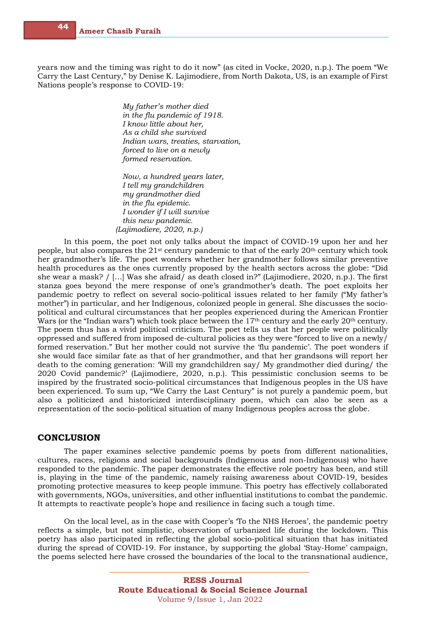years now and the timing was right to do it now" (as cited in Vocke, 2020, n.p.). The poem "We Carry the Last Century," by Denise K. Lajimodiere, from North Dakota, US, is an example of First Nations people's response to COVID-19:

> *My father's mother died in the flu pandemic of 1918. I know little about her, As a child she survived Indian wars, treaties, starvation, forced to live on a newly formed reservation.*

*Now, a hundred years later, I tell my grandchildren my grandmother died in the flu epidemic. I wonder if I will survive this new pandemic. (Lajimodiere, 2020, n.p.)*

In this poem, the poet not only talks about the impact of COVID-19 upon her and her people, but also compares the 21st century pandemic to that of the early 20th century which took her grandmother's life. The poet wonders whether her grandmother follows similar preventive health procedures as the ones currently proposed by the health sectors across the globe: "Did she wear a mask? / […] Was she afraid/ as death closed in?" (Lajimodiere, 2020, n.p.). The first stanza goes beyond the mere response of one's grandmother's death. The poet exploits her pandemic poetry to reflect on several socio-political issues related to her family ("My father's mother") in particular, and her Indigenous, colonized people in general. She discusses the sociopolitical and cultural circumstances that her peoples experienced during the American Frontier Wars (or the "Indian wars") which took place between the 17<sup>th</sup> century and the early 20<sup>th</sup> century. The poem thus has a vivid political criticism. The poet tells us that her people were politically oppressed and suffered from imposed de-cultural policies as they were "forced to live on a newly/ formed reservation." But her mother could not survive the 'flu pandemic'. The poet wonders if she would face similar fate as that of her grandmother, and that her grandsons will report her death to the coming generation: 'Will my grandchildren say/ My grandmother died during/ the 2020 Covid pandemic?' (Lajimodiere, 2020, n.p.). This pessimistic conclusion seems to be inspired by the frustrated socio-political circumstances that Indigenous peoples in the US have been experienced. To sum up, "We Carry the Last Century" is not purely a pandemic poem, but also a politicized and historicized interdisciplinary poem, which can also be seen as a representation of the socio-political situation of many Indigenous peoples across the globe.

# **CONCLUSION**

The paper examines selective pandemic poems by poets from different nationalities, cultures, races, religions and social backgrounds (Indigenous and non-Indigenous) who have responded to the pandemic. The paper demonstrates the effective role poetry has been, and still is, playing in the time of the pandemic, namely raising awareness about COVID-19, besides promoting protective measures to keep people immune. This poetry has effectively collaborated with governments, NGOs, universities, and other influential institutions to combat the pandemic. It attempts to reactivate people's hope and resilience in facing such a tough time.

On the local level, as in the case with Cooper's 'To the NHS Heroes', the pandemic poetry reflects a simple, but not simplistic, observation of urbanized life during the lockdown. This poetry has also participated in reflecting the global socio-political situation that has initiated during the spread of COVID-19. For instance, by supporting the global 'Stay-Home' campaign, the poems selected here have crossed the boundaries of the local to the transnational audience,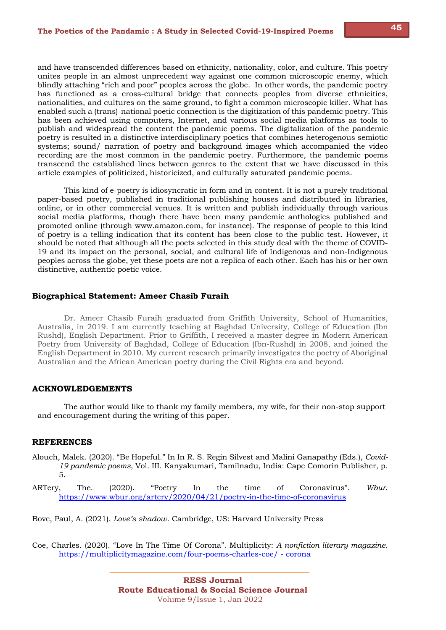and have transcended differences based on ethnicity, nationality, color, and culture. This poetry unites people in an almost unprecedent way against one common microscopic enemy, which blindly attaching "rich and poor" peoples across the globe. In other words, the pandemic poetry has functioned as a cross-cultural bridge that connects peoples from diverse ethnicities, nationalities, and cultures on the same ground, to fight a common microscopic killer. What has enabled such a (trans)-national poetic connection is the digitization of this pandemic poetry. This has been achieved using computers, Internet, and various social media platforms as tools to publish and widespread the content the pandemic poems. The digitalization of the pandemic poetry is resulted in a distinctive interdisciplinary poetics that combines heterogenous semiotic systems; sound/ narration of poetry and background images which accompanied the video recording are the most common in the pandemic poetry. Furthermore, the pandemic poems transcend the established lines between genres to the extent that we have discussed in this article examples of politicized, historicized, and culturally saturated pandemic poems.

This kind of e-poetry is idiosyncratic in form and in content. It is not a purely traditional paper-based poetry, published in traditional publishing houses and distributed in libraries, online, or in other commercial venues. It is written and publish individually through various social media platforms, though there have been many pandemic anthologies published and promoted online (through www.amazon.com, for instance). The response of people to this kind of poetry is a telling indication that its content has been close to the public test. However, it should be noted that although all the poets selected in this study deal with the theme of COVID-19 and its impact on the personal, social, and cultural life of Indigenous and non-Indigenous peoples across the globe, yet these poets are not a replica of each other. Each has his or her own distinctive, authentic poetic voice.

### **Biographical Statement: Ameer Chasib Furaih**

Dr. Ameer Chasib Furaih graduated from Griffith University, School of Humanities, Australia, in 2019. I am currently teaching at Baghdad University, College of Education (Ibn Rushd), English Department. Prior to Griffith, I received a master degree in Modern American Poetry from University of Baghdad, College of Education (Ibn-Rushd) in 2008, and joined the English Department in 2010. My current research primarily investigates the poetry of Aboriginal Australian and the African American poetry during the Civil Rights era and beyond.

## **ACKNOWLEDGEMENTS**

The author would like to thank my family members, my wife, for their non-stop support and encouragement during the writing of this paper.

## **REFERENCES**

Alouch, Malek. (2020). "Be Hopeful." In In R. S. Regin Silvest and Malini Ganapathy (Eds.), *Covid-19 pandemic poems*, Vol. III. Kanyakumari, Tamilnadu, India: Cape Comorin Publisher, p. 5.

ARTery, The. (2020). "Poetry In the time of Coronavirus". *Wbur*. https://www.wbur.org/artery/2020/04/21/poetry-in-the-time-of-coronavirus

Bove, Paul, A. (2021). *Love's shadow*. Cambridge, US: Harvard University Press

Coe, Charles. (2020). "Love In The Time Of Corona". Multiplicity: *A nonfiction literary magazine*. https://multiplicitymagazine.com/four-poems-charles-coe/ - corona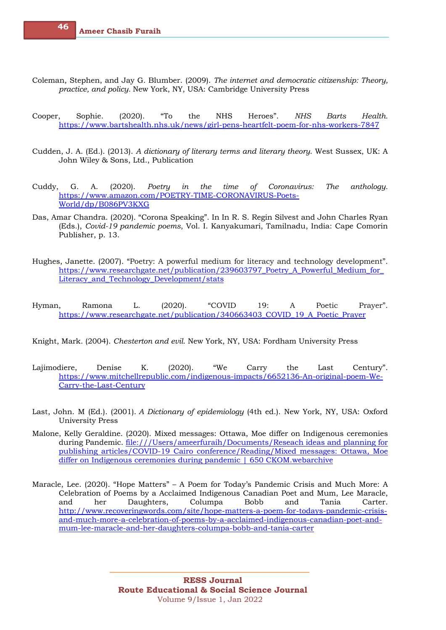- Coleman, Stephen, and Jay G. Blumber. (2009). *The internet and democratic citizenship: Theory, practice, and policy.* New York, NY, USA: Cambridge University Press
- Cooper, Sophie. (2020). "To the NHS Heroes". *NHS Barts Health.* https://www.bartshealth.nhs.uk/news/girl-pens-heartfelt-poem-for-nhs-workers-7847
- Cudden, J. A. (Ed.). (2013). *A dictionary of literary terms and literary theory*. West Sussex, UK: A John Wiley & Sons, Ltd., Publication
- Cuddy, G. A. (2020). *Poetry in the time of Coronavirus: The anthology.* https://www.amazon.com/POETRY-TIME-CORONAVIRUS-Poets-World/dp/B086PV3KXG
- Das, Amar Chandra. (2020). "Corona Speaking". In In R. S. Regin Silvest and John Charles Ryan (Eds.), *Covid-19 pandemic poems*, Vol. I. Kanyakumari, Tamilnadu, India: Cape Comorin Publisher, p. 13.
- Hughes, Janette. (2007). "Poetry: A powerful medium for literacy and technology development". https://www.researchgate.net/publication/239603797\_Poetry\_A\_Powerful\_Medium\_for\_ Literacy and Technology Development/stats
- Hyman, Ramona L. (2020). "COVID 19: A Poetic Prayer". https://www.researchgate.net/publication/340663403\_COVID\_19\_A\_Poetic\_Prayer
- Knight, Mark. (2004). *Chesterton and evil*. New York, NY, USA: Fordham University Press
- Lajimodiere, Denise K. (2020). "We Carry the Last Century". https://www.mitchellrepublic.com/indigenous-impacts/6652136-An-original-poem-We-Carry-the-Last-Century
- Last, John. M (Ed.). (2001). *A Dictionary of epidemiology* (4th ed.). New York, NY, USA: Oxford University Press
- Malone, Kelly Geraldine. (2020). Mixed messages: Ottawa, Moe differ on Indigenous ceremonies during Pandemic. file:///Users/ameerfuraih/Documents/Reseach ideas and planning for publishing articles/COVID-19 Cairo conference/Reading/Mixed messages: Ottawa, Moe differ on Indigenous ceremonies during pandemic | 650 CKOM.webarchive
- Maracle, Lee. (2020). "Hope Matters" A Poem for Today's Pandemic Crisis and Much More: A Celebration of Poems by a Acclaimed Indigenous Canadian Poet and Mum, Lee Maracle, and her Daughters, Columpa Bobb and Tania Carter. http://www.recoveringwords.com/site/hope-matters-a-poem-for-todays-pandemic-crisisand-much-more-a-celebration-of-poems-by-a-acclaimed-indigenous-canadian-poet-andmum-lee-maracle-and-her-daughters-columpa-bobb-and-tania-carter